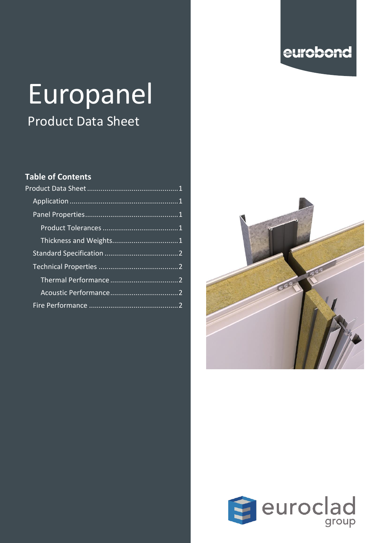## eurobond

# Europanel

# Product Data Sheet

#### **Table of Contents**



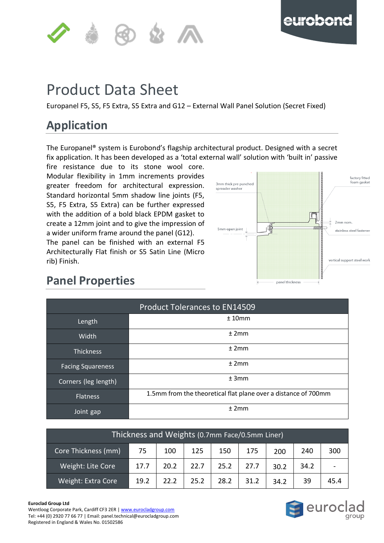



#### <span id="page-1-0"></span>**of the contract of the contract of the contract of the contract of the contract of the contract of the contract** p Product Data Sheet

Europanel F5, S5, F5 Extra, S5 Extra and G12 – External Wall Panel Solution (Secret Fixed)

## <span id="page-1-1"></span>**Application**

The Europanel® system is Eurobond's flagship architectural product. Designed with a secret fix application. It has been developed as a 'total external wall' solution with 'built in' passive

fire resistance due to its stone wool core. Modular flexibility in 1mm increments provides greater freedom for architectural expression. Standard horizontal 5mm shadow line joints (F5, S5, F5 Extra, S5 Extra) can be further expressed with the addition of a bold black EPDM gasket to create a 12mm joint and to give the impression of a wider uniform frame around the panel (G12). The panel can be finished with an external F5

Architecturally Flat finish or S5 Satin Line (Micro rib) Finish.



## <span id="page-1-2"></span>**Panel Properties**

<span id="page-1-3"></span>

| <b>Product Tolerances to EN14509</b> |                                                                |  |  |  |  |  |  |  |
|--------------------------------------|----------------------------------------------------------------|--|--|--|--|--|--|--|
| Length                               | ±10mm                                                          |  |  |  |  |  |  |  |
| <b>Width</b>                         | ±2mm                                                           |  |  |  |  |  |  |  |
| <b>Thickness</b>                     | ±2mm                                                           |  |  |  |  |  |  |  |
| <b>Facing Squareness</b>             | ±2mm                                                           |  |  |  |  |  |  |  |
| Corners (leg length)                 | ±3mm                                                           |  |  |  |  |  |  |  |
| <b>Flatness</b>                      | 1.5mm from the theoretical flat plane over a distance of 700mm |  |  |  |  |  |  |  |
| Joint gap                            | ±2mm                                                           |  |  |  |  |  |  |  |

<span id="page-1-4"></span>

| Thickness and Weights (0.7mm Face/0.5mm Liner), |      |      |      |      |      |      |      |      |  |
|-------------------------------------------------|------|------|------|------|------|------|------|------|--|
| Core Thickness (mm)                             | 75   | 100  | 125  | 150  | 175  | 200  | 240  | 300  |  |
| Weight: Lite Core                               | 17.7 | 20.2 | 22.7 | 25.2 | 27.7 | 30.2 | 34.2 |      |  |
| Weight: Extra Core                              | 19.2 | 22.2 | 25.2 | 28.2 | 31.2 | 34.2 | 39   | 45.4 |  |

#### **Euroclad Group Ltd**